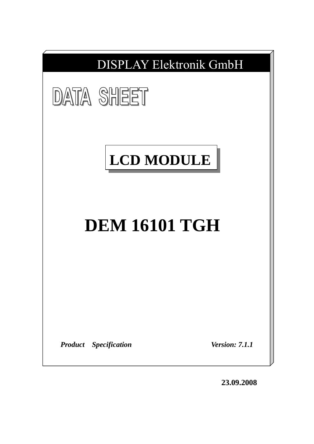

**23.09.2008**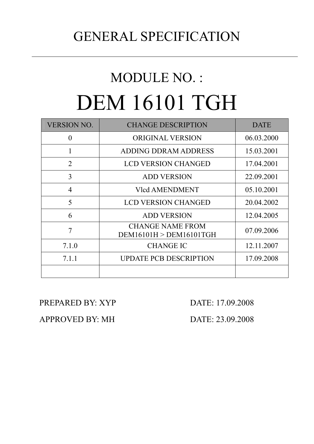## GENERAL SPECIFICATION

# MODULE NO. : DEM 16101 TGH

| <b>VERSION NO.</b> | <b>CHANGE DESCRIPTION</b>                          | <b>DATE</b> |
|--------------------|----------------------------------------------------|-------------|
| $\theta$           | <b>ORIGINAL VERSION</b>                            | 06.03.2000  |
| 1                  | ADDING DDRAM ADDRESS                               | 15.03.2001  |
| $\overline{2}$     | <b>LCD VERSION CHANGED</b>                         | 17.04.2001  |
| 3                  | <b>ADD VERSION</b>                                 | 22.09.2001  |
| $\overline{4}$     | <b>Vlcd AMENDMENT</b>                              | 05.10.2001  |
| 5                  | <b>LCD VERSION CHANGED</b>                         | 20.04.2002  |
| 6                  | <b>ADD VERSION</b>                                 | 12.04.2005  |
| 7                  | <b>CHANGE NAME FROM</b><br>DEM16101H > DEM16101TGH | 07.09.2006  |
| 7.1.0              | <b>CHANGE IC</b>                                   | 12.11.2007  |
| 7.1.1              | <b>UPDATE PCB DESCRIPTION</b>                      | 17.09.2008  |
|                    |                                                    |             |

PREPARED BY: XYP DATE: 17.09.2008

APPROVED BY: MH DATE: 23.09.2008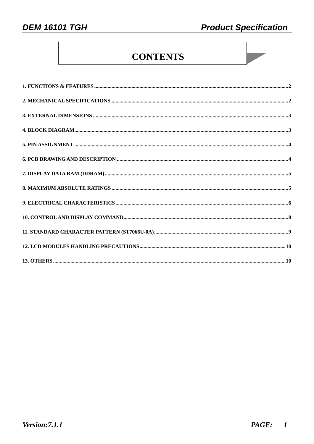### **CONTENTS**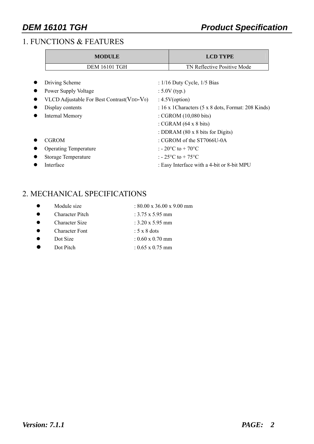#### 1. FUNCTIONS & FEATURES

| <b>MODULE</b>                                   |                                                                    | <b>LCD TYPE</b>                            |  |  |  |
|-------------------------------------------------|--------------------------------------------------------------------|--------------------------------------------|--|--|--|
| <b>DEM 16101 TGH</b>                            |                                                                    | TN Reflective Positive Mode                |  |  |  |
| Driving Scheme                                  |                                                                    | : $1/16$ Duty Cycle, $1/5$ Bias            |  |  |  |
| Power Supply Voltage                            |                                                                    | : $5.0V$ (typ.)                            |  |  |  |
| VLCD Adjustable For Best Contrast ( $VDD-V_0$ ) | : $4.5V$ (option)                                                  |                                            |  |  |  |
| Display contents                                | : 16 x 1 Characters $(5 \times 8 \text{ dots},$ Format: 208 Kinds) |                                            |  |  |  |
| <b>Internal Memory</b>                          |                                                                    | : CGROM (10,080 bits)                      |  |  |  |
|                                                 |                                                                    | : CGRAM $(64 \times 8 \text{ bits})$       |  |  |  |
|                                                 |                                                                    | : DDRAM (80 x 8 bits for Digits)           |  |  |  |
| <b>CGROM</b>                                    |                                                                    | $\therefore$ CGROM of the ST7066U-0A       |  |  |  |
| <b>Operating Temperature</b>                    |                                                                    | : - 20 $^{\circ}$ C to + 70 $^{\circ}$ C   |  |  |  |
| Storage Temperature                             |                                                                    | : $-25^{\circ}$ C to $+75^{\circ}$ C       |  |  |  |
| Interface                                       |                                                                    | : Easy Interface with a 4-bit or 8-bit MPU |  |  |  |
|                                                 |                                                                    |                                            |  |  |  |

#### 2. MECHANICAL SPECIFICATIONS

|           | Module size            | : $80.00 \times 36.00 \times 9.00 \text{ mm}$ |
|-----------|------------------------|-----------------------------------------------|
| $\bullet$ | <b>Character Pitch</b> | : $3.75 \times 5.95$ mm                       |
| $\bullet$ | <b>Character Size</b>  | : $3.20 \times 5.95$ mm                       |
| $\bullet$ | <b>Character Font</b>  | $: 5 \times 8$ dots                           |
|           | Dot Size               | $: 0.60 \times 0.70$ mm                       |
|           | Dot Pitch              | : $0.65 \times 0.75$ mm                       |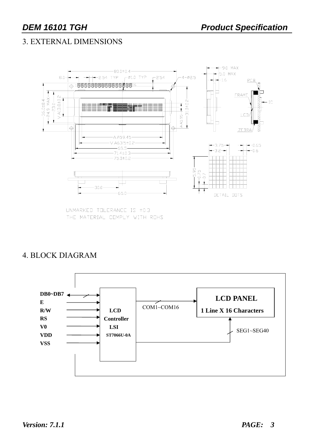#### 3. EXTERNAL DIMENSIONS



UNMARKED TOLERANCE IS ±0.3 THE MATERIAL COMPLY WITH ROHS

#### 4. BLOCK DIAGRAM

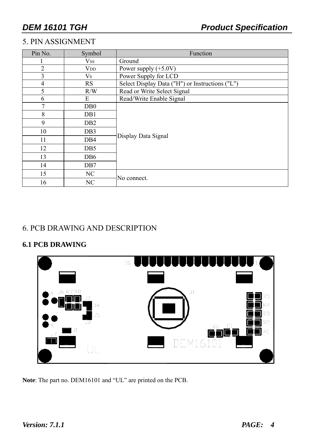### 5. PIN ASSIGNMENT

| Pin No.        | Symbol           | Function                                        |  |  |  |  |  |  |
|----------------|------------------|-------------------------------------------------|--|--|--|--|--|--|
|                | <b>Vss</b>       | Ground                                          |  |  |  |  |  |  |
| $\overline{2}$ | $V_{DD}$         | Power supply $(+5.0V)$                          |  |  |  |  |  |  |
| 3              | $\rm V_0$        | Power Supply for LCD                            |  |  |  |  |  |  |
| $\overline{4}$ | RS               | Select Display Data ("H") or Instructions ("L") |  |  |  |  |  |  |
| 5              | R/W              | Read or Write Select Signal                     |  |  |  |  |  |  |
| 6              | E                | Read/Write Enable Signal                        |  |  |  |  |  |  |
| $\tau$         | D <sub>B</sub> 0 |                                                 |  |  |  |  |  |  |
| 8              | D <sub>B</sub> 1 |                                                 |  |  |  |  |  |  |
| 9              | D <sub>B2</sub>  |                                                 |  |  |  |  |  |  |
| 10             | DB <sub>3</sub>  |                                                 |  |  |  |  |  |  |
| 11             | D <sub>B4</sub>  | Display Data Signal                             |  |  |  |  |  |  |
| 12             | D <sub>B5</sub>  |                                                 |  |  |  |  |  |  |
| 13             | DB <sub>6</sub>  |                                                 |  |  |  |  |  |  |
| 14             | DB7              |                                                 |  |  |  |  |  |  |
| 15             | NC               | No connect.                                     |  |  |  |  |  |  |
| 16             | NC               |                                                 |  |  |  |  |  |  |

#### 6. PCB DRAWING AND DESCRIPTION

#### **6.1 PCB DRAWING**



**Note**: The part no. DEM16101 and "UL" are printed on the PCB.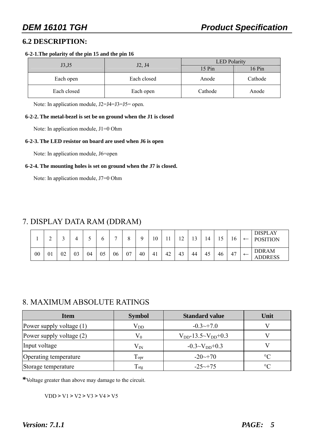#### **6.2 DESCRIPTION:**

#### **6-2-1.The polarity of the pin 15 and the pin 16**

| J3, J5      | J <sub>2</sub> , J <sub>4</sub> | <b>LED</b> Polarity |                     |  |  |
|-------------|---------------------------------|---------------------|---------------------|--|--|
|             |                                 | 15 Pin              | $16 \,\mathrm{Pin}$ |  |  |
| Each open   | Each closed                     | Anode               | Cathode             |  |  |
| Each closed | Each open                       | Cathode             | Anode               |  |  |

Note: In application module, J2=J4=J3=J5= open.

#### **6-2-2. The metal-bezel is set be on ground when the J1 is closed**

Note: In application module, J1=0 Ohm

#### **6-2-3. The LED resistor on board are used when J6 is open**

Note: In application module, J6=open

#### **6-2-4. The mounting holes is set on ground when the J7 is closed.**

Note: In application module, J7=0 Ohm

#### 7. DISPLAY DATA RAM (DDRAM)

|    | ⌒<br>∸ |    |    |    |    | $\overline{ }$ | O  |    | 10 | -1<br>1 I | $\sqrt{2}$<br>∸ | 12 | 14 | -<br>. L J | 16 | ←                        | <b>DISPLAY</b><br><b>POSITION</b> |
|----|--------|----|----|----|----|----------------|----|----|----|-----------|-----------------|----|----|------------|----|--------------------------|-----------------------------------|
| 00 | 01     | 02 | 03 | 04 | 05 | 06             | 07 | 40 | 41 | 42        | 43              | 44 | 45 | 46         | 47 | $\overline{\phantom{m}}$ | <b>DDRAM</b><br><b>ADDRESS</b>    |

#### 8. MAXIMUM ABSOLUTE RATINGS

| <b>Item</b>                | <b>Symbol</b>                   | <b>Standard value</b>         | Unit            |
|----------------------------|---------------------------------|-------------------------------|-----------------|
| Power supply voltage $(1)$ | $\rm V_{DD}$                    | $-0.3 \rightarrow 7.0$        |                 |
| Power supply voltage $(2)$ | $V_0$                           | $V_{DD}$ -13.5~ $V_{DD}$ +0.3 |                 |
| Input voltage              | $\rm V_{IN}$                    | $-0.3 \sim V_{DD} + 0.3$      |                 |
| Operating temperature      | $\operatorname{T_{\text{opt}}}$ | $-20 \rightarrow 70$          | $\rm ^{\circ}C$ |
| Storage temperature        | $T_{\rm{stg}}$                  | $-25 \rightarrow 75$          | $\rm ^{\circ}C$ |

**\***Voltage greater than above may damage to the circuit.

 $VDD > V1 > V2 > V3 > V4 > V5$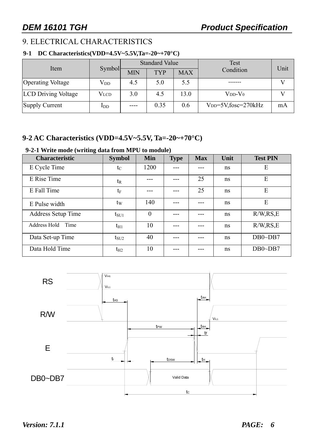#### 9. ELECTRICAL CHARACTERISTICS

#### **9-1 DC Characteristics(VDD=4.5V~5.5V,Ta=-20~+70°C)**

|                            |                 |            | <b>Standard Value</b> |            | Test                         |      |
|----------------------------|-----------------|------------|-----------------------|------------|------------------------------|------|
| Item                       | <b>Symbol</b>   | <b>MIN</b> | <b>TYP</b>            | <b>MAX</b> | Condition                    | Unit |
| <b>Operating Voltage</b>   | $\rm V_{DD}$    | 4.5        | 5.0                   | 5.5        |                              |      |
| <b>LCD Driving Voltage</b> | <b>V</b> lcd    | 3.0        | 4.5                   | 13.0       | $V_{DD}$ - $V_0$             |      |
| Supply Current             | 1 <sub>DD</sub> |            | 0.35                  | 0.6        | $V_{DD} = 5V$ , fosc=270 kHz | mA   |

#### **9-2 AC Characteristics (VDD=4.5V~5.5V, Ta=-20~+70°C)**

#### **9-2-1 Write mode (writing data from MPU to module)**

| <b>Characteristic</b>     | <b>Symbol</b> | <b>Min</b> | <b>Type</b> | <b>Max</b> | Unit | <b>Test PIN</b> |
|---------------------------|---------------|------------|-------------|------------|------|-----------------|
| E Cycle Time              | $t_{\rm C}$   | 1200       |             |            | ns   | E               |
| E Rise Time               | $t_{R}$       |            |             | 25         | ns   | E               |
| E Fall Time               | $t_F$         |            |             | 25         | ns   | E               |
| E Pulse width             | $t_{\rm W}$   | 140        |             | ---        | ns   | E               |
| <b>Address Setup Time</b> | $t_{\rm SU1}$ | $\theta$   |             |            | ns   | R/W, RS, E      |
| Address Hold<br>Time      | $t_{H1}$      | 10         |             |            | ns   | R/W, RS, E      |
| Data Set-up Time          | $t_{\rm SU2}$ | 40         |             |            | ns   | $DB0\neg DB7$   |
| Data Hold Time            | $t_{H2}$      | 10         |             |            | ns   | $DB0\neg DB7$   |



*Version: 7.1.1 PAGE: 6*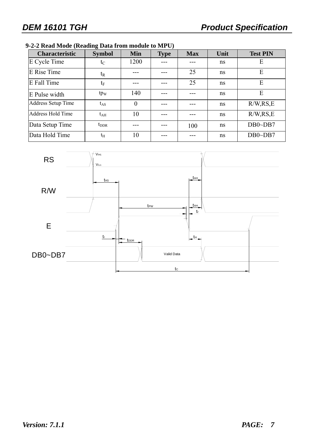#### **9-2-2 Read Mode (Reading Data from module to MPU)**

| <b>Characteristic</b>     | <b>Symbol</b>   | <b>Min</b> | <b>Type</b> | <b>Max</b> | Unit | <b>Test PIN</b> |
|---------------------------|-----------------|------------|-------------|------------|------|-----------------|
| E Cycle Time              | $t_C$           | 1200       |             |            | ns   | E               |
| E Rise Time               | $t_{R}$         |            |             | 25         | ns   | E               |
| E Fall Time               | $t_{\rm F}$     |            |             | 25         | ns   | E               |
| E Pulse width             | tp <sub>w</sub> | 140        |             |            | ns   | E               |
| <b>Address Setup Time</b> | $t_{AS}$        | $\theta$   |             |            | ns   | R/W, RS, E      |
| Address Hold Time         | $t_{\rm AH}$    | 10         |             |            | ns   | R/W, RS, E      |
| Data Setup Time           | $t_{\rm DDR}$   |            |             | 100        | ns   | $DB0\neg DB7$   |
| Data Hold Time            | $t_{\rm H}$     | 10         |             |            | ns   | $DB0\neg DB7$   |

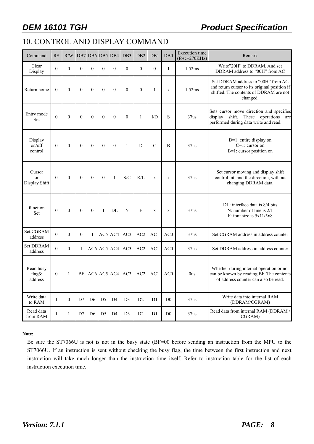### **DEM 16101 TGH CONSERVITY REPORTS PRODUCT Specification**

### 10. CONTROL AND DISPLAY COMMAND

| Command                                  | RS           | R/W      |              |                | DB7 DB6 DB5 DB4 |                   | DB <sub>3</sub> | D <sub>B2</sub> | DB1            | DB <sub>0</sub> | <b>Execution</b> time<br>$(fose=270KHz)$ | Remark                                                                                                                                    |
|------------------------------------------|--------------|----------|--------------|----------------|-----------------|-------------------|-----------------|-----------------|----------------|-----------------|------------------------------------------|-------------------------------------------------------------------------------------------------------------------------------------------|
| Clear<br>Display                         | $\theta$     | $\theta$ | $\theta$     | $\theta$       | $\theta$        | $\theta$          | $\theta$        | $\theta$        | $\Omega$       | 1               | 1.52ms                                   | Write"20H" to DDRAM. And set<br>DDRAM address to "00H" from AC                                                                            |
| Return home                              | $\theta$     | $\theta$ | $\mathbf{0}$ | $\theta$       | $\Omega$        | $\overline{0}$    | $\theta$        | $\mathbf{0}$    | $\mathbf{1}$   | $\mathbf X$     | 1.52ms                                   | Set DDRAM address to "00H" from AC<br>and return cursor to its original position if<br>shifted. The contents of DDRAM are not<br>changed. |
| Entry mode<br><b>Set</b>                 | $\theta$     | $\theta$ | $\theta$     | $\theta$       | $\theta$        | $\theta$          | $\theta$        | $\mathbf{1}$    | I/D            | S               | 37us                                     | Sets cursor move direction and specifies<br>display shift. These operations are<br>performed during data write and read.                  |
| Display<br>on/off<br>control             | $\theta$     | $\theta$ | $\theta$     | $\theta$       | $\theta$        | $\mathbf{0}$      | $\mathbf{1}$    | D               | $\mathcal{C}$  | B               | 37us                                     | $D=1$ : entire display on<br>$C=1$ : cursor on<br>B=1: cursor position on                                                                 |
| Cursor<br><sub>or</sub><br>Display Shift | $\Omega$     | $\Omega$ | $\theta$     | $\theta$       | $\Omega$        | $\mathbf{1}$      | S/C             | R/L             | $\mathbf{x}$   | $\mathbf X$     | 37 <sub>us</sub>                         | Set cursor moving and display shift<br>control bit, and the direction, without<br>changing DDRAM data.                                    |
| function<br>Set                          | $\theta$     | $\theta$ | $\theta$     | $\theta$       | 1               | DL                | N               | F               | $\mathbf X$    | $\mathbf X$     | 37us                                     | DL: interface data is 8/4 bits<br>N: number of line is $2/1$<br>$F:$ font size is $5x11/5x8$                                              |
| <b>Set CGRAM</b><br>address              | $\Omega$     | $\theta$ | $\theta$     | 1              |                 | AC5 AC4           | AC3             | AC2             | AC1            | AC <sub>0</sub> | 37 <sub>us</sub>                         | Set CGRAM address in address counter                                                                                                      |
| <b>Set DDRAM</b><br>address              | $\theta$     | $\theta$ | $\mathbf{1}$ |                |                 | $AC6$ $AC5$ $AC4$ | AC3             | AC2             | AC1            | AC0             | 37 <sub>us</sub>                         | Set DDRAM address in address counter                                                                                                      |
| Read busy<br>flag&<br>address            | $\mathbf{0}$ | 1        | BF           |                |                 | $AC6$ $AC5$ $AC4$ | AC3             | AC2             | AC1            | AC0             | 0us                                      | Whether during internal operation or not<br>can be known by reading BF. The contents<br>of address counter can also be read.              |
| Write data<br>to RAM                     | $\mathbf{1}$ | $\theta$ | D7           | D <sub>6</sub> | D <sub>5</sub>  | D <sub>4</sub>    | D <sub>3</sub>  | D2              | D <sub>1</sub> | D <sub>0</sub>  | 37us                                     | Write data into internal RAM<br>(DDRAM/CGRAM)                                                                                             |
| Read data<br>from RAM                    | 1            | 1        | D7           | D <sub>6</sub> | D <sub>5</sub>  | D <sub>4</sub>    | D <sub>3</sub>  | D2              | D1             | D <sub>0</sub>  | 37 <sub>us</sub>                         | Read data from internal RAM (DDRAM /<br>CGRAM)                                                                                            |

#### **Note:**

Be sure the ST7066U is not is not in the busy state (BF=00 before sending an instruction from the MPU to the ST7066U. If an instruction is sent without checking the busy flag, the time between the first instruction and next instruction will take much longer than the instruction time itself. Refer to instruction table for the list of each instruction execution time.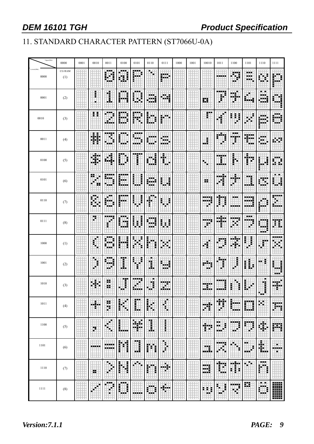### 11. STANDARD CHARACTER PATTERN (ST7066U-0A)

| Upper(4bit)          | 0000          | 0001 | 0010 | 0011             | 0100             | 0101                   | 0110             | 0111             | 1000 | 1001 | 10010         | 1011             | 1100             | 1101                       | 1110                     | 1111                    |
|----------------------|---------------|------|------|------------------|------------------|------------------------|------------------|------------------|------|------|---------------|------------------|------------------|----------------------------|--------------------------|-------------------------|
| Lowert(4bit)<br>0000 | CG RAM<br>(1) |      |      | <b>BOO</b><br>-- |                  | F                      | ۳.               | ш×               |      |      |               |                  | ₩                | alah d<br>ania)<br>sister. | ⋾                        |                         |
| 0001                 | (2)           |      | F    | ť                |                  | ---<br>E               | ----<br>الأداداد | œ.<br>alah       |      |      | 罪             | <br>j            | 瞴<br>F.          |                            | . .<br>.<br>a wiki<br>11 | İ                       |
| 0010                 | (3)           |      | 88   |                  |                  | E                      | Ē                |                  |      |      | F             |                  | ł                | ы                          |                          |                         |
| 0011                 | (4)           |      | 轠    | mar.<br>Tarihi   | 医胃炎              | 医胃血压<br>E<br>.<br>---- |                  | <br><br>a a siy  |      |      | ł<br>         | 時間<br>♦          | ---<br>والجاواة  | 333<br>w                   | <br>. .<br>a ata         | Œ                       |
| 0100                 | (5)           |      | н    | d.               | I                | -----<br>Ē             | i                | m<br>۰.          |      |      |               | <u>erial</u>     | ŀ                | H.<br>i                    |                          | B<br>Ħ                  |
| 0101                 | (6)           |      | ×    |                  | ٥.,              | Ē                      | .                |                  |      |      | 99            |                  | <b>THE</b><br>œ, | 讐                          | ы                        | <b>BOTHER</b><br>I.     |
| 0110                 | (7)           |      |      | п.<br>- -        | .                | į<br>J                 | 医胃<br>Þ<br>Ē     | i                |      |      | ::::          | m<br>J           | ---<br>-----     | جنانة<br>---               |                          | .<br>----               |
| 0111                 | (8)           |      | Ħ    | ----             | 医胃炎<br>dalar     | i<br>Ē<br>€            | - 1              | i<br>ā<br>×      |      |      | tin ng<br>¢   |                  |                  | <b>FRE</b><br><br>₽        | .                        | Ħ<br>奪                  |
| 1000                 | (1)           |      | H    | н.               |                  | E                      |                  | m                |      |      | í             | .                | ina.<br>÷,       | ł                          | r                        | m                       |
| 1001                 | (2)           |      | ţ,   | <br>٠.<br>н.     | I                | E<br>f,<br>Ħ           | ı                |                  |      |      | и.,<br>٠.     | X                | 粵                | L<br>İ                     | ı<br>                    | İ<br>                   |
| 1010                 | (3)           |      | 蟲    | 22<br>99         | Ï                |                        | ш<br>1           | W<br>hini n      |      |      |               |                  | н                |                            | ٠<br>Ï                   | Ш.                      |
| 1011                 | (4)           |      | 轊    | 89<br>H.         | İ<br>۳           | E                      | İ<br>H           | Ī                |      |      | 38            | 矖                | Ħ<br>----        | aring,<br>جنتك             | œ.                       | ₩                       |
| 1100                 | (5)           |      | Ħ    | Œ                | l                | H                      | 72<br>Ĵ.         | i                |      |      | Ħ             | a a<br>Ē<br>     | ₩                | W                          | H.                       | 躢                       |
| 1101                 | (6)           |      |      | -----            | đ<br>ľ           | <br>B                  | H                | ∄                |      |      | 49<br>.       | 55 M S           | Ħ                | <br>F                      | 鴨                        | ٠<br><b>Barba</b><br>k. |
| 1110                 | (7)           |      | 88   | Ξ                | Ì<br>i           | ы                      | i<br>١           | H.               |      |      | щ<br>---      | Ħ                | Ī.<br>E          | E.                         | <br>œ<br>i               |                         |
| 1111                 | (8)           |      |      |                  | <br>i<br>į<br>a. |                        | i                | ₩<br>ti il<br>u, |      |      | H.<br>н<br>H) | E<br>i<br>н<br>۰ | m<br>÷           | ₩                          | a na<br><br>i            |                         |